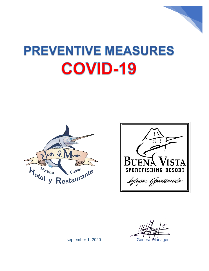

# **PREVENTIVE MEASURES COVID-19**





september 1, 2020 General Manager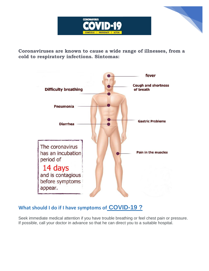



**Coronaviruses are known to cause a wide range of illnesses, from a cold to respiratory infections. Síntomas:**



### **[What should I do if I have symptoms of](about:blank) COVID[-19 ?](about:blank)**

Seek immediate medical attention if you have trouble breathing or feel chest pain or pressure. If possible, call your doctor in advance so that he can direct you to a suitable hospital.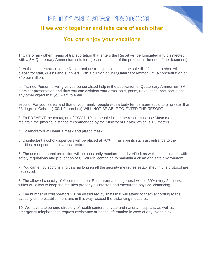## ENTRY AND STAY PROTOCOL

#### If we work together and take care of each other

#### You can enjoy your vacations

1. Cars or any other means of transportation that enters the Resort will be fumigated and disinfected with a 3M Quaternary Ammonium solution. (technical sheet of the product at the end of the document).

2. At the main entrance to the Resort and at strategic points, a shoe sole disinfection method will be placed for staff, guests and suppliers, with a dilution of 3M Quaternary Ammonium, a concentration of 840 per million.

to. Trained Personnel will give you personalized help in the application of Quaternary Ammonium 3M in atomizer presentation and thus you can disinfect your arms, shirt, pants, travel bags, backpacks and any other object that you want to enter.

second. For your safety and that of your family, people with a body temperature equal to or greater than 38 degrees Celsius (100.4 Fahrenheit) WILL NOT BE ABLE TO ENTER THE RESORT.

3. To PREVENT the contagion of COVID 19, all people inside the resort must use Mascaría and maintain the physical distance recommended by the Ministry of Health, which is 1.5 meters.

4. Collaborators will wear a mask and plastic mask

5. Disinfectant alcohol dispensers will be placed at 70% in main points such as: entrance to the facilities, reception, public areas, restrooms.

6. The use of personal protection will be constantly monitored and verified, as well as compliance with safety regulations and prevention of COVID-19 contagion to maintain a clean and safe environment.

7. You can enjoy sport fishing trips as long as all the security measures established in this protocol are respected.

8. The allowed capacity of Accommodation, Restaurant and in general will be 50% every 24 hours, which will allow to keep the facilities properly disinfected and encourage physical distancing.

9. The number of collaborators will be distributed by shifts that will attend to them according to the capacity of the establishment and in this way respect the distancing measures.

10. We have a telephone directory of health centers, private and national hospitals, as well as emergency telephones to request assistance or health information in case of any eventuality.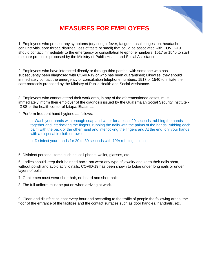

## **MEASURES FOR EMPLOYEES**

1. Employees who present any symptoms (dry cough, fever, fatigue, nasal congestion, headache, conjunctivitis, sore throat, diarrhea, loss of taste or smell) that could be associated with COVID-19 should contact immediately to the emergency or consultation telephone numbers: 1517 or 1540 to start the care protocols proposed by the Ministry of Public Health and Social Assistance.

2. Employees who have interacted directly or through third parties, with someone who has subsequently been diagnosed with COVID-19 or who has been quarantined; Likewise, they should immediately contact the emergency or consultation telephone numbers: 1517 or 1540 to initiate the care protocols proposed by the Ministry of Public Health and Social Assistance.

3. Employees who cannot attend their work area, in any of the aforementioned cases, must immediately inform their employer of the diagnosis issued by the Guatemalan Social Security Institute - IGSS or the health center of Iztapa, Escuintla.

4. Perform frequent hand hygiene as follows:

a. Wash your hands with enough soap and water for at least 20 seconds, rubbing the hands together and interlocking the fingers, rubbing the nails with the palms of the hands, rubbing each palm with the back of the other hand and interlocking the fingers and At the end, dry your hands with a disposable cloth or towel.

b. Disinfect your hands for 20 to 30 seconds with 70% rubbing alcohol.

5. Disinfect personal items such as: cell phone, wallet, glasses, etc.

6. Ladies should keep their hair tied back, not wear any type of jewelry and keep their nails short, without polish and avoid acrylic nails. COVID-19 has been shown to lodge under long nails or under layers of polish.

7. Gentlemen must wear short hair, no beard and short nails.

8. The full uniform must be put on when arriving at work.

9. Clean and disinfect at least every hour and according to the traffic of people the following areas: the floor of the entrance of the facilities and the contact surfaces such as door handles, handrails, etc.